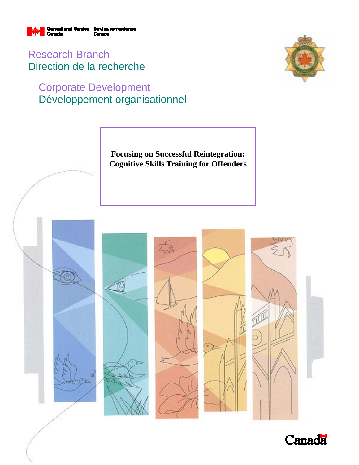

Research Branch Direction de la recherche

# Corporate Development Développement organisationnel



**Focusing on Successful Reintegration: Cognitive Skills Training for Offenders** 



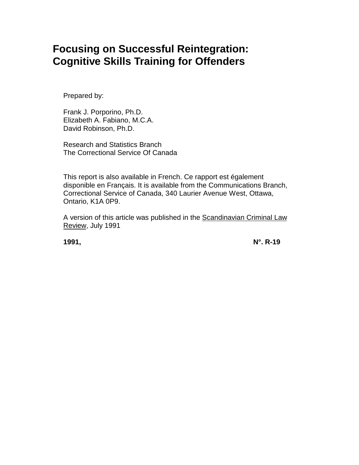# **Focusing on Successful Reintegration: Cognitive Skills Training for Offenders**

Prepared by:

Frank J. Porporino, Ph.D. Elizabeth A. Fabiano, M.C.A. David Robinson, Ph.D.

Research and Statistics Branch The Correctional Service Of Canada

This report is also available in French. Ce rapport est également disponible en Français. It is available from the Communications Branch, Correctional Service of Canada, 340 Laurier Avenue West, Ottawa, Ontario, K1A 0P9.

A version of this article was published in the Scandinavian Criminal Law Review, July 1991

**1991, N°. R-19**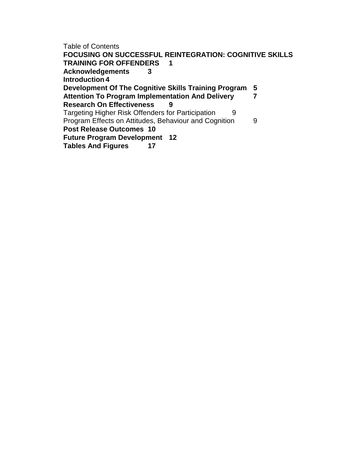Table of Contents **FOCUSING ON SUCCESSFUL REINTEGRATION: COGNITIVE SKILLS TRAINING FOR OFFENDERS 1 Acknowledgements 3 Introduction 4 Development Of The Cognitive Skills Training Program 5 Attention To Program Implementation And Delivery 7 Research On Effectiveness 9** Targeting Higher Risk Offenders for Participation 9 Program Effects on Attitudes, Behaviour and Cognition 9 **Post Release Outcomes 10 Future Program Development 12 Tables And Figures 17**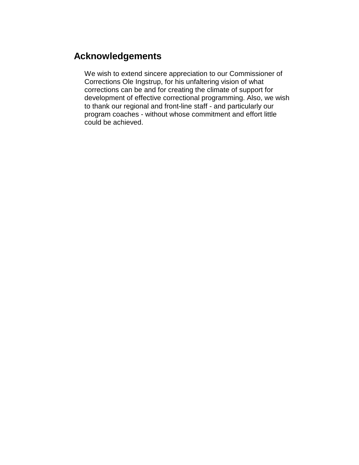# **Acknowledgements**

We wish to extend sincere appreciation to our Commissioner of Corrections Ole Ingstrup, for his unfaltering vision of what corrections can be and for creating the climate of support for development of effective correctional programming. Also, we wish to thank our regional and front-line staff - and particularly our program coaches - without whose commitment and effort little could be achieved.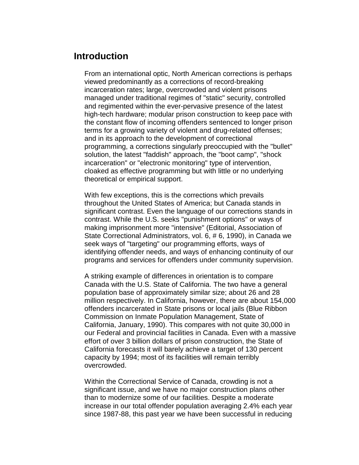### **Introduction**

From an international optic, North American corrections is perhaps viewed predominantly as a corrections of record-breaking incarceration rates; large, overcrowded and violent prisons managed under traditional regimes of "static" security, controlled and regimented within the ever-pervasive presence of the latest high-tech hardware; modular prison construction to keep pace with the constant flow of incoming offenders sentenced to longer prison terms for a growing variety of violent and drug-related offenses; and in its approach to the development of correctional programming, a corrections singularly preoccupied with the "bullet" solution, the latest "faddish" approach, the "boot camp", "shock incarceration" or "electronic monitoring" type of intervention, cloaked as effective programming but with little or no underlying theoretical or empirical support.

With few exceptions, this is the corrections which prevails throughout the United States of America; but Canada stands in significant contrast. Even the language of our corrections stands in contrast. While the U.S. seeks "punishment options" or ways of making imprisonment more "intensive" (Editorial, Association of State Correctional Administrators, vol. 6, # 6, 1990), in Canada we seek ways of "targeting" our programming efforts, ways of identifying offender needs, and ways of enhancing continuity of our programs and services for offenders under community supervision.

A striking example of differences in orientation is to compare Canada with the U.S. State of California. The two have a general population base of approximately similar size; about 26 and 28 million respectively. In California, however, there are about 154,000 offenders incarcerated in State prisons or local jails (Blue Ribbon Commission on Inmate Population Management, State of California, January, 1990). This compares with not quite 30,000 in our Federal and provincial facilities in Canada. Even with a massive effort of over 3 billion dollars of prison construction, the State of California forecasts it will barely achieve a target of 130 percent capacity by 1994; most of its facilities will remain terribly overcrowded.

Within the Correctional Service of Canada, crowding is not a significant issue, and we have no major construction plans other than to modernize some of our facilities. Despite a moderate increase in our total offender population averaging 2.4% each year since 1987-88, this past year we have been successful in reducing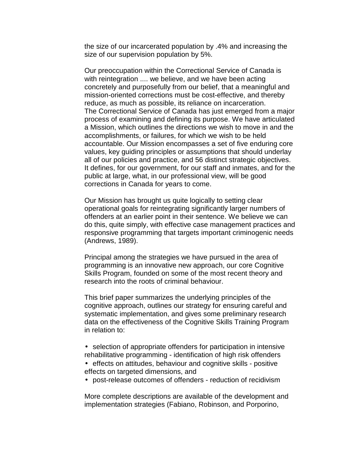the size of our incarcerated population by .4% and increasing the size of our supervision population by 5%.

Our preoccupation within the Correctional Service of Canada is with reintegration .... we believe, and we have been acting concretely and purposefully from our belief, that a meaningful and mission-oriented corrections must be cost-effective, and thereby reduce, as much as possible, its reliance on incarceration. The Correctional Service of Canada has just emerged from a major process of examining and defining its purpose. We have articulated a Mission, which outlines the directions we wish to move in and the accomplishments, or failures, for which we wish to be held accountable. Our Mission encompasses a set of five enduring core values, key guiding principles or assumptions that should underlay all of our policies and practice, and 56 distinct strategic objectives. It defines, for our government, for our staff and inmates, and for the public at large, what, in our professional view, will be good corrections in Canada for years to come.

Our Mission has brought us quite logically to setting clear operational goals for reintegrating significantly larger numbers of offenders at an earlier point in their sentence. We believe we can do this, quite simply, with effective case management practices and responsive programming that targets important criminogenic needs (Andrews, 1989).

Principal among the strategies we have pursued in the area of programming is an innovative new approach, our core Cognitive Skills Program, founded on some of the most recent theory and research into the roots of criminal behaviour.

This brief paper summarizes the underlying principles of the cognitive approach, outlines our strategy for ensuring careful and systematic implementation, and gives some preliminary research data on the effectiveness of the Cognitive Skills Training Program in relation to:

- selection of appropriate offenders for participation in intensive rehabilitative programming - identification of high risk offenders
- effects on attitudes, behaviour and cognitive skills positive effects on targeted dimensions, and
- post-release outcomes of offenders reduction of recidivism

More complete descriptions are available of the development and implementation strategies (Fabiano, Robinson, and Porporino,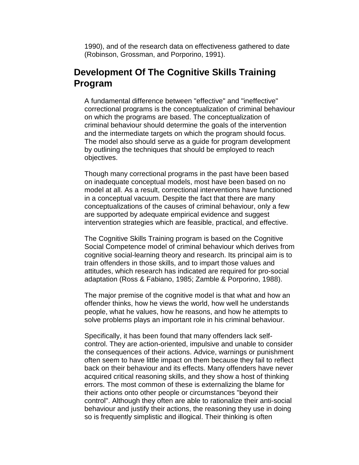1990), and of the research data on effectiveness gathered to date (Robinson, Grossman, and Porporino, 1991).

## **Development Of The Cognitive Skills Training Program**

A fundamental difference between "effective" and "ineffective" correctional programs is the conceptualization of criminal behaviour on which the programs are based. The conceptualization of criminal behaviour should determine the goals of the intervention and the intermediate targets on which the program should focus. The model also should serve as a guide for program development by outlining the techniques that should be employed to reach objectives.

Though many correctional programs in the past have been based on inadequate conceptual models, most have been based on no model at all. As a result, correctional interventions have functioned in a conceptual vacuum. Despite the fact that there are many conceptualizations of the causes of criminal behaviour, only a few are supported by adequate empirical evidence and suggest intervention strategies which are feasible, practical, and effective.

The Cognitive Skills Training program is based on the Cognitive Social Competence model of criminal behaviour which derives from cognitive social-learning theory and research. Its principal aim is to train offenders in those skills, and to impart those values and attitudes, which research has indicated are required for pro-social adaptation (Ross & Fabiano, 1985; Zamble & Porporino, 1988).

The major premise of the cognitive model is that what and how an offender thinks, how he views the world, how well he understands people, what he values, how he reasons, and how he attempts to solve problems plays an important role in his criminal behaviour.

Specifically, it has been found that many offenders lack selfcontrol. They are action-oriented, impulsive and unable to consider the consequences of their actions. Advice, warnings or punishment often seem to have little impact on them because they fail to reflect back on their behaviour and its effects. Many offenders have never acquired critical reasoning skills, and they show a host of thinking errors. The most common of these is externalizing the blame for their actions onto other people or circumstances "beyond their control". Although they often are able to rationalize their anti-social behaviour and justify their actions, the reasoning they use in doing so is frequently simplistic and illogical. Their thinking is often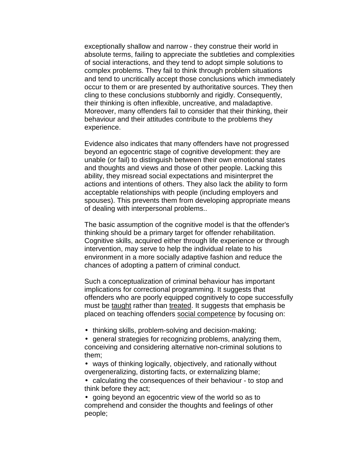exceptionally shallow and narrow - they construe their world in absolute terms, failing to appreciate the subtleties and complexities of social interactions, and they tend to adopt simple solutions to complex problems. They fail to think through problem situations and tend to uncritically accept those conclusions which immediately occur to them or are presented by authoritative sources. They then cling to these conclusions stubbornly and rigidly. Consequently, their thinking is often inflexible, uncreative, and maladaptive. Moreover, many offenders fail to consider that their thinking, their behaviour and their attitudes contribute to the problems they experience.

Evidence also indicates that many offenders have not progressed beyond an egocentric stage of cognitive development: they are unable (or fail) to distinguish between their own emotional states and thoughts and views and those of other people. Lacking this ability, they misread social expectations and misinterpret the actions and intentions of others. They also lack the ability to form acceptable relationships with people (including employers and spouses). This prevents them from developing appropriate means of dealing with interpersonal problems..

The basic assumption of the cognitive model is that the offender's thinking should be a primary target for offender rehabilitation. Cognitive skills, acquired either through life experience or through intervention, may serve to help the individual relate to his environment in a more socially adaptive fashion and reduce the chances of adopting a pattern of criminal conduct.

Such a conceptualization of criminal behaviour has important implications for correctional programming. It suggests that offenders who are poorly equipped cognitively to cope successfully must be taught rather than treated. It suggests that emphasis be placed on teaching offenders social competence by focusing on:

- thinking skills, problem-solving and decision-making;
- general strategies for recognizing problems, analyzing them, conceiving and considering alternative non-criminal solutions to them;
- ways of thinking logically, objectively, and rationally without overgeneralizing, distorting facts, or externalizing blame;
- calculating the consequences of their behaviour to stop and think before they act;

• going beyond an egocentric view of the world so as to comprehend and consider the thoughts and feelings of other people;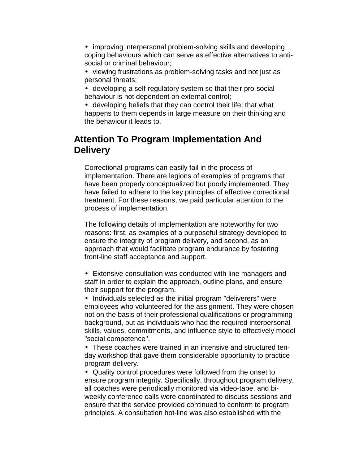- improving interpersonal problem-solving skills and developing coping behaviours which can serve as effective alternatives to antisocial or criminal behaviour;
- viewing frustrations as problem-solving tasks and not just as personal threats;
- developing a self-regulatory system so that their pro-social behaviour is not dependent on external control;
- developing beliefs that they can control their life; that what happens to them depends in large measure on their thinking and the behaviour it leads to.

# **Attention To Program Implementation And Delivery**

Correctional programs can easily fail in the process of implementation. There are legions of examples of programs that have been properly conceptualized but poorly implemented. They have failed to adhere to the key principles of effective correctional treatment. For these reasons, we paid particular attention to the process of implementation.

The following details of implementation are noteworthy for two reasons: first, as examples of a purposeful strategy developed to ensure the integrity of program delivery, and second, as an approach that would facilitate program endurance by fostering front-line staff acceptance and support.

• Extensive consultation was conducted with line managers and staff in order to explain the approach, outline plans, and ensure their support for the program.

• Individuals selected as the initial program "deliverers" were employees who volunteered for the assignment. They were chosen not on the basis of their professional qualifications or programming background, but as individuals who had the required interpersonal skills, values, commitments, and influence style to effectively model "social competence".

• These coaches were trained in an intensive and structured tenday workshop that gave them considerable opportunity to practice program delivery.

• Quality control procedures were followed from the onset to ensure program integrity. Specifically, throughout program delivery, all coaches were periodically monitored via video-tape, and biweekly conference calls were coordinated to discuss sessions and ensure that the service provided continued to conform to program principles. A consultation hot-line was also established with the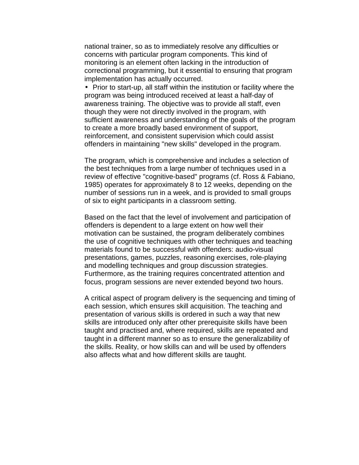national trainer, so as to immediately resolve any difficulties or concerns with particular program components. This kind of monitoring is an element often lacking in the introduction of correctional programming, but it essential to ensuring that program implementation has actually occurred.

• Prior to start-up, all staff within the institution or facility where the program was being introduced received at least a half-day of awareness training. The objective was to provide all staff, even though they were not directly involved in the program, with sufficient awareness and understanding of the goals of the program to create a more broadly based environment of support, reinforcement, and consistent supervision which could assist offenders in maintaining "new skills" developed in the program.

The program, which is comprehensive and includes a selection of the best techniques from a large number of techniques used in a review of effective "cognitive-based" programs (cf. Ross & Fabiano, 1985) operates for approximately 8 to 12 weeks, depending on the number of sessions run in a week, and is provided to small groups of six to eight participants in a classroom setting.

Based on the fact that the level of involvement and participation of offenders is dependent to a large extent on how well their motivation can be sustained, the program deliberately combines the use of cognitive techniques with other techniques and teaching materials found to be successful with offenders: audio-visual presentations, games, puzzles, reasoning exercises, role-playing and modelling techniques and group discussion strategies. Furthermore, as the training requires concentrated attention and focus, program sessions are never extended beyond two hours.

A critical aspect of program delivery is the sequencing and timing of each session, which ensures skill acquisition. The teaching and presentation of various skills is ordered in such a way that new skills are introduced only after other prerequisite skills have been taught and practised and, where required, skills are repeated and taught in a different manner so as to ensure the generalizability of the skills. Reality, or how skills can and will be used by offenders also affects what and how different skills are taught.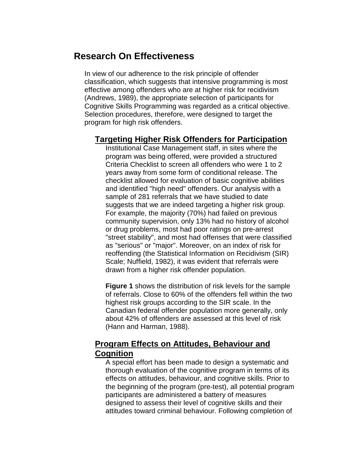## **Research On Effectiveness**

In view of our adherence to the risk principle of offender classification, which suggests that intensive programming is most effective among offenders who are at higher risk for recidivism (Andrews, 1989), the appropriate selection of participants for Cognitive Skills Programming was regarded as a critical objective. Selection procedures, therefore, were designed to target the program for high risk offenders.

### **Targeting Higher Risk Offenders for Participation**

Institutional Case Management staff, in sites where the program was being offered, were provided a structured Criteria Checklist to screen all offenders who were 1 to 2 years away from some form of conditional release. The checklist allowed for evaluation of basic cognitive abilities and identified "high need" offenders. Our analysis with a sample of 281 referrals that we have studied to date suggests that we are indeed targeting a higher risk group. For example, the majority (70%) had failed on previous community supervision, only 13% had no history of alcohol or drug problems, most had poor ratings on pre-arrest "street stability", and most had offenses that were classified as "serious" or "major". Moreover, on an index of risk for reoffending (the Statistical Information on Recidivism (SIR) Scale; Nuffield, 1982), it was evident that referrals were drawn from a higher risk offender population.

**Figure 1** shows the distribution of risk levels for the sample of referrals. Close to 60% of the offenders fell within the two highest risk groups according to the SIR scale. In the Canadian federal offender population more generally, only about 42% of offenders are assessed at this level of risk (Hann and Harman, 1988).

### **Program Effects on Attitudes, Behaviour and Cognition**

A special effort has been made to design a systematic and thorough evaluation of the cognitive program in terms of its effects on attitudes, behaviour, and cognitive skills. Prior to the beginning of the program (pre-test), all potential program participants are administered a battery of measures designed to assess their level of cognitive skills and their attitudes toward criminal behaviour. Following completion of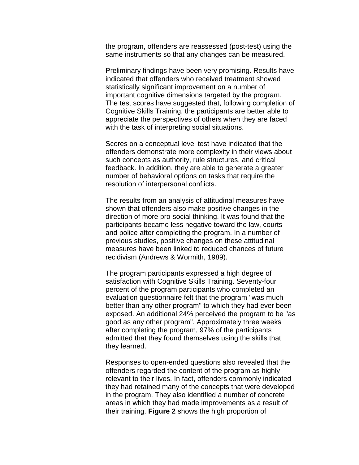the program, offenders are reassessed (post-test) using the same instruments so that any changes can be measured.

Preliminary findings have been very promising. Results have indicated that offenders who received treatment showed statistically significant improvement on a number of important cognitive dimensions targeted by the program. The test scores have suggested that, following completion of Cognitive Skills Training, the participants are better able to appreciate the perspectives of others when they are faced with the task of interpreting social situations.

Scores on a conceptual level test have indicated that the offenders demonstrate more complexity in their views about such concepts as authority, rule structures, and critical feedback. In addition, they are able to generate a greater number of behavioral options on tasks that require the resolution of interpersonal conflicts.

The results from an analysis of attitudinal measures have shown that offenders also make positive changes in the direction of more pro-social thinking. It was found that the participants became less negative toward the law, courts and police after completing the program. In a number of previous studies, positive changes on these attitudinal measures have been linked to reduced chances of future recidivism (Andrews & Wormith, 1989).

The program participants expressed a high degree of satisfaction with Cognitive Skills Training. Seventy-four percent of the program participants who completed an evaluation questionnaire felt that the program "was much better than any other program" to which they had ever been exposed. An additional 24% perceived the program to be "as good as any other program". Approximately three weeks after completing the program, 97% of the participants admitted that they found themselves using the skills that they learned.

Responses to open-ended questions also revealed that the offenders regarded the content of the program as highly relevant to their lives. In fact, offenders commonly indicated they had retained many of the concepts that were developed in the program. They also identified a number of concrete areas in which they had made improvements as a result of their training. **Figure 2** shows the high proportion of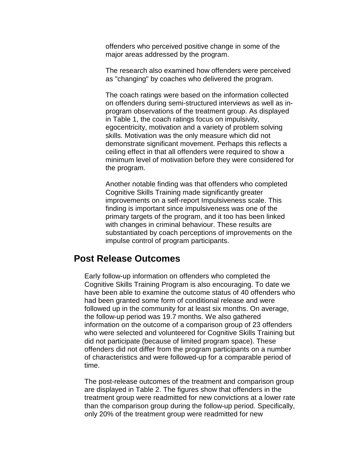offenders who perceived positive change in some of the major areas addressed by the program.

The research also examined how offenders were perceived as "changing" by coaches who delivered the program.

The coach ratings were based on the information collected on offenders during semi-structured interviews as well as inprogram observations of the treatment group. As displayed in Table 1, the coach ratings focus on impulsivity, egocentricity, motivation and a variety of problem solving skills. Motivation was the only measure which did not demonstrate significant movement. Perhaps this reflects a ceiling effect in that all offenders were required to show a minimum level of motivation before they were considered for the program.

Another notable finding was that offenders who completed Cognitive Skills Training made significantly greater improvements on a self-report Impulsiveness scale. This finding is important since impulsiveness was one of the primary targets of the program, and it too has been linked with changes in criminal behaviour. These results are substantiated by coach perceptions of improvements on the impulse control of program participants.

### **Post Release Outcomes**

Early follow-up information on offenders who completed the Cognitive Skills Training Program is also encouraging. To date we have been able to examine the outcome status of 40 offenders who had been granted some form of conditional release and were followed up in the community for at least six months. On average, the follow-up period was 19.7 months. We also gathered information on the outcome of a comparison group of 23 offenders who were selected and volunteered for Cognitive Skills Training but did not participate (because of limited program space). These offenders did not differ from the program participants on a number of characteristics and were followed-up for a comparable period of time.

The post-release outcomes of the treatment and comparison group are displayed in Table 2. The figures show that offenders in the treatment group were readmitted for new convictions at a lower rate than the comparison group during the follow-up period. Specifically, only 20% of the treatment group were readmitted for new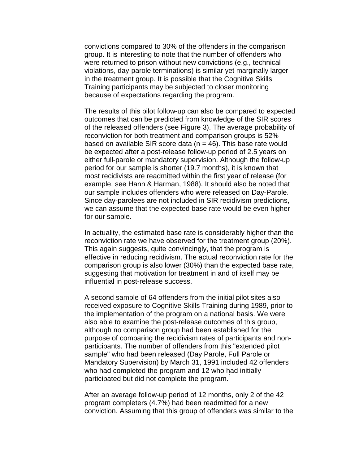convictions compared to 30% of the offenders in the comparison group. It is interesting to note that the number of offenders who were returned to prison without new convictions (e.g., technical violations, day-parole terminations) is similar yet marginally larger in the treatment group. It is possible that the Cognitive Skills Training participants may be subjected to closer monitoring because of expectations regarding the program.

The results of this pilot follow-up can also be compared to expected outcomes that can be predicted from knowledge of the SIR scores of the released offenders (see Figure 3). The average probability of reconviction for both treatment and comparison groups is 52% based on available SIR score data  $(n = 46)$ . This base rate would be expected after a post-release follow-up period of 2.5 years on either full-parole or mandatory supervision. Although the follow-up period for our sample is shorter (19.7 months), it is known that most recidivists are readmitted within the first year of release (for example, see Hann & Harman, 1988). It should also be noted that our sample includes offenders who were released on Day-Parole. Since day-parolees are not included in SIR recidivism predictions, we can assume that the expected base rate would be even higher for our sample.

In actuality, the estimated base rate is considerably higher than the reconviction rate we have observed for the treatment group (20%). This again suggests, quite convincingly, that the program is effective in reducing recidivism. The actual reconviction rate for the comparison group is also lower (30%) than the expected base rate, suggesting that motivation for treatment in and of itself may be influential in post-release success.

A second sample of 64 offenders from the initial pilot sites also received exposure to Cognitive Skills Training during 1989, prior to the implementation of the program on a national basis. We were also able to examine the post-release outcomes of this group, although no comparison group had been established for the purpose of comparing the recidivism rates of participants and nonparticipants. The number of offenders from this "extended pilot sample" who had been released (Day Parole, Full Parole or Mandatory Supervision) by March 31, 1991 included 42 offenders who had completed the program and 12 who had initially participated but did not complete the program. $<sup>1</sup>$ </sup>

After an average follow-up period of 12 months, only 2 of the 42 program completers (4.7%) had been readmitted for a new conviction. Assuming that this group of offenders was similar to the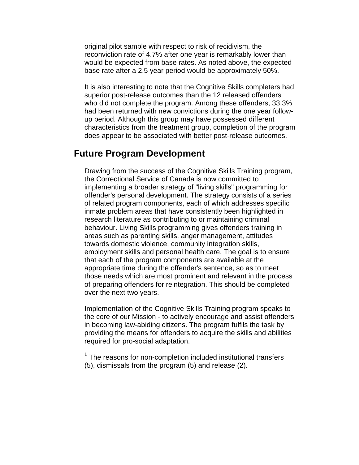original pilot sample with respect to risk of recidivism, the reconviction rate of 4.7% after one year is remarkably lower than would be expected from base rates. As noted above, the expected base rate after a 2.5 year period would be approximately 50%.

It is also interesting to note that the Cognitive Skills completers had superior post-release outcomes than the 12 released offenders who did not complete the program. Among these offenders, 33.3% had been returned with new convictions during the one year followup period. Although this group may have possessed different characteristics from the treatment group, completion of the program does appear to be associated with better post-release outcomes.

### **Future Program Development**

Drawing from the success of the Cognitive Skills Training program, the Correctional Service of Canada is now committed to implementing a broader strategy of "living skills" programming for offender's personal development. The strategy consists of a series of related program components, each of which addresses specific inmate problem areas that have consistently been highlighted in research literature as contributing to or maintaining criminal behaviour. Living Skills programming gives offenders training in areas such as parenting skills, anger management, attitudes towards domestic violence, community integration skills, employment skills and personal health care. The goal is to ensure that each of the program components are available at the appropriate time during the offender's sentence, so as to meet those needs which are most prominent and relevant in the process of preparing offenders for reintegration. This should be completed over the next two years.

Implementation of the Cognitive Skills Training program speaks to the core of our Mission - to actively encourage and assist offenders in becoming law-abiding citizens. The program fulfils the task by providing the means for offenders to acquire the skills and abilities required for pro-social adaptation.

 $1$  The reasons for non-completion included institutional transfers (5), dismissals from the program (5) and release (2).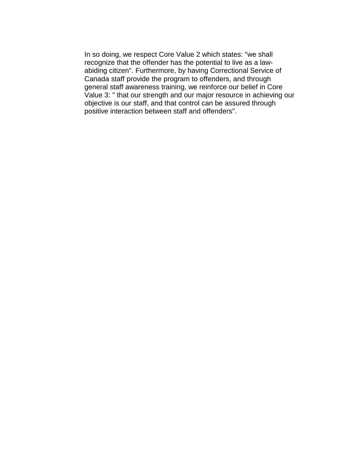In so doing, we respect Core Value 2 which states: "we shall recognize that the offender has the potential to live as a lawabiding citizen". Furthermore, by having Correctional Service of Canada staff provide the program to offenders, and through general staff awareness training, we reinforce our belief in Core Value 3: " that our strength and our major resource in achieving our objective is our staff, and that control can be assured through positive interaction between staff and offenders".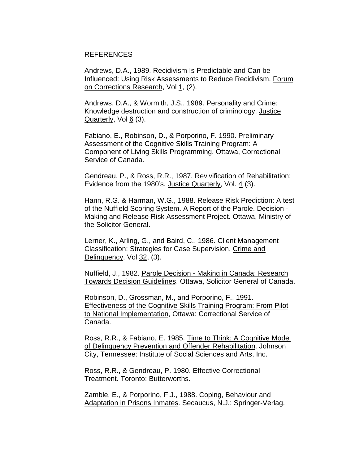#### REFERENCES

Andrews, D.A., 1989. Recidivism Is Predictable and Can be Influenced: Using Risk Assessments to Reduce Recidivism. Forum on Corrections Research, Vol 1, (2).

Andrews, D.A., & Wormith, J.S., 1989. Personality and Crime: Knowledge destruction and construction of criminology. Justice Quarterly, Vol 6 (3).

Fabiano, E., Robinson, D., & Porporino, F. 1990. Preliminary Assessment of the Cognitive Skills Training Program: A Component of Living Skills Programming. Ottawa, Correctional Service of Canada.

Gendreau, P., & Ross, R.R., 1987. Revivification of Rehabilitation: Evidence from the 1980's. Justice Quarterly, Vol. 4 (3).

Hann, R.G. & Harman, W.G., 1988. Release Risk Prediction: A test of the Nuffield Scoring System. A Report of the Parole. Decision - Making and Release Risk Assessment Project. Ottawa, Ministry of the Solicitor General.

Lerner, K., Arling, G., and Baird, C., 1986. Client Management Classification: Strategies for Case Supervision. Crime and Delinquency, Vol 32, (3).

Nuffield, J., 1982. Parole Decision - Making in Canada: Research Towards Decision Guidelines. Ottawa, Solicitor General of Canada.

Robinson, D., Grossman, M., and Porporino, F., 1991. Effectiveness of the Cognitive Skills Training Program: From Pilot to National Implementation, Ottawa: Correctional Service of Canada.

Ross, R.R., & Fabiano, E. 1985. Time to Think: A Cognitive Model of Delinquency Prevention and Offender Rehabilitation. Johnson City, Tennessee: Institute of Social Sciences and Arts, Inc.

Ross, R.R., & Gendreau, P. 1980. Effective Correctional Treatment. Toronto: Butterworths.

Zamble, E., & Porporino, F.J., 1988. Coping, Behaviour and Adaptation in Prisons Inmates. Secaucus, N.J.: Springer-Verlag.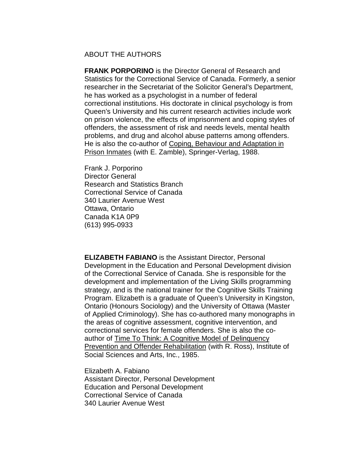#### ABOUT THE AUTHORS

**FRANK PORPORINO** is the Director General of Research and Statistics for the Correctional Service of Canada. Formerly, a senior researcher in the Secretariat of the Solicitor General's Department, he has worked as a psychologist in a number of federal correctional institutions. His doctorate in clinical psychology is from Queen's University and his current research activities include work on prison violence, the effects of imprisonment and coping styles of offenders, the assessment of risk and needs levels, mental health problems, and drug and alcohol abuse patterns among offenders. He is also the co-author of Coping, Behaviour and Adaptation in Prison Inmates (with E. Zamble), Springer-Verlag, 1988.

Frank J. Porporino Director General Research and Statistics Branch Correctional Service of Canada 340 Laurier Avenue West Ottawa, Ontario Canada K1A 0P9 (613) 995-0933

**ELIZABETH FABIANO** is the Assistant Director, Personal Development in the Education and Personal Development division of the Correctional Service of Canada. She is responsible for the development and implementation of the Living Skills programming strategy, and is the national trainer for the Cognitive Skills Training Program. Elizabeth is a graduate of Queen's University in Kingston, Ontario (Honours Sociology) and the University of Ottawa (Master of Applied Criminology). She has co-authored many monographs in the areas of cognitive assessment, cognitive intervention, and correctional services for female offenders. She is also the coauthor of Time To Think: A Cognitive Model of Delinquency Prevention and Offender Rehabilitation (with R. Ross), Institute of Social Sciences and Arts, Inc., 1985.

Elizabeth A. Fabiano Assistant Director, Personal Development Education and Personal Development Correctional Service of Canada 340 Laurier Avenue West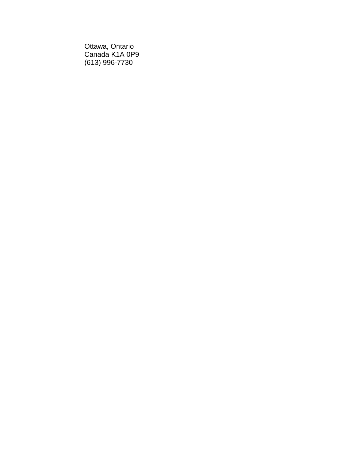Ottawa, Ontario Canada K1A 0P9 (613) 996-7730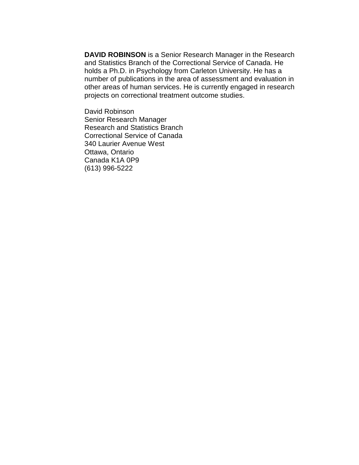**DAVID ROBINSON** is a Senior Research Manager in the Research and Statistics Branch of the Correctional Service of Canada. He holds a Ph.D. in Psychology from Carleton University. He has a number of publications in the area of assessment and evaluation in other areas of human services. He is currently engaged in research projects on correctional treatment outcome studies.

David Robinson Senior Research Manager Research and Statistics Branch Correctional Service of Canada 340 Laurier Avenue West Ottawa, Ontario Canada K1A 0P9 (613) 996-5222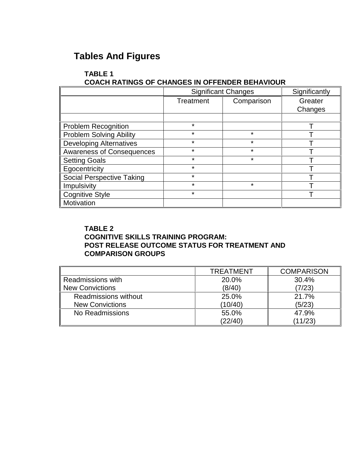# **Tables And Figures**

#### **TABLE 1 COACH RATINGS OF CHANGES IN OFFENDER BEHAVIOUR**

|                                  | <b>Significant Changes</b> |            | Significantly |
|----------------------------------|----------------------------|------------|---------------|
|                                  | Treatment                  | Comparison | Greater       |
|                                  |                            |            | Changes       |
|                                  |                            |            |               |
| <b>Problem Recognition</b>       | $\star$                    |            |               |
| <b>Problem Solving Ability</b>   | $\star$                    | $\star$    |               |
| <b>Developing Alternatives</b>   | $\star$                    | $\star$    |               |
| <b>Awareness of Consequences</b> | $\star$                    | $\star$    |               |
| <b>Setting Goals</b>             | $\star$                    | ¥          |               |
| Egocentricity                    | $\star$                    |            |               |
| <b>Social Perspective Taking</b> | $\star$                    |            |               |
| Impulsivity                      | $\star$                    | $\star$    |               |
| <b>Cognitive Style</b>           | $\star$                    |            |               |
| Motivation                       |                            |            |               |

#### **TABLE 2 COGNITIVE SKILLS TRAINING PROGRAM: POST RELEASE OUTCOME STATUS FOR TREATMENT AND COMPARISON GROUPS**

|                             | <b>TREATMENT</b> | <b>COMPARISON</b> |
|-----------------------------|------------------|-------------------|
| Readmissions with           | 20.0%            | 30.4%             |
| New Convictions             | (8/40)           | (7/23)            |
| <b>Readmissions without</b> | 25.0%            | 21.7%             |
| <b>New Convictions</b>      | (10/40)          | (5/23)            |
| No Readmissions             | 55.0%            | 47.9%             |
|                             | (22/40)          | (11/23)           |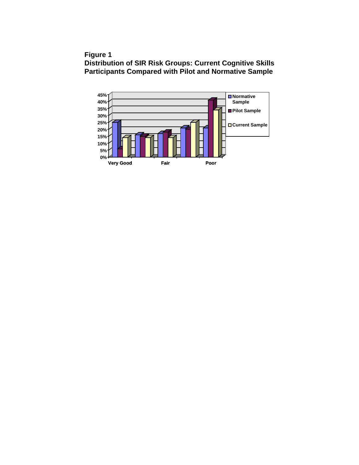**Figure 1**

**Distribution of SIR Risk Groups: Current Cognitive Skills Participants Compared with Pilot and Normative Sample**

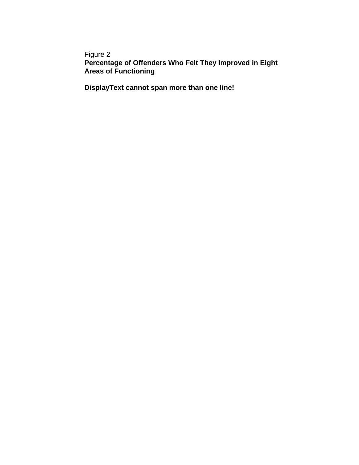### Figure 2 **Percentage of Offenders Who Felt They Improved in Eight Areas of Functioning**

**DisplayText cannot span more than one line!**